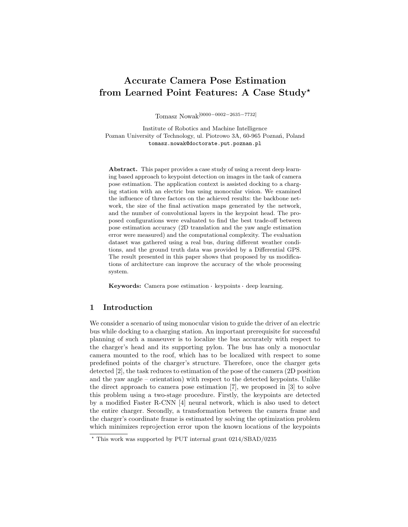# Accurate Camera Pose Estimation from Learned Point Features: A Case Study?

Tomasz Nowak[0000−0002−2635−7732]

Institute of Robotics and Machine Intelligence Poznan University of Technology, ul. Piotrowo 3A, 60-965 Poznań, Poland tomasz.nowak@doctorate.put.poznan.pl

Abstract. This paper provides a case study of using a recent deep learning based approach to keypoint detection on images in the task of camera pose estimation. The application context is assisted docking to a charging station with an electric bus using monocular vision. We examined the influence of three factors on the achieved results: the backbone network, the size of the final activation maps generated by the network, and the number of convolutional layers in the keypoint head. The proposed configurations were evaluated to find the best trade-off between pose estimation accuracy (2D translation and the yaw angle estimation error were measured) and the computational complexity. The evaluation dataset was gathered using a real bus, during different weather conditions, and the ground truth data was provided by a Differential GPS. The result presented in this paper shows that proposed by us modifications of architecture can improve the accuracy of the whole processing system.

Keywords: Camera pose estimation keypoints deep learning.

# 1 Introduction

We consider a scenario of using monocular vision to guide the driver of an electric bus while docking to a charging station. An important prerequisite for successful planning of such a maneuver is to localize the bus accurately with respect to the charger's head and its supporting pylon. The bus has only a monocular camera mounted to the roof, which has to be localized with respect to some predefined points of the charger's structure. Therefore, once the charger gets detected [2], the task reduces to estimation of the pose of the camera (2D position and the yaw angle – orientation) with respect to the detected keypoints. Unlike the direct approach to camera pose estimation [7], we proposed in [3] to solve this problem using a two-stage procedure. Firstly, the keypoints are detected by a modified Faster R-CNN [4] neural network, which is also used to detect the entire charger. Secondly, a transformation between the camera frame and the charger's coordinate frame is estimated by solving the optimization problem which minimizes reprojection error upon the known locations of the keypoints

<sup>?</sup> This work was supported by PUT internal grant 0214/SBAD/0235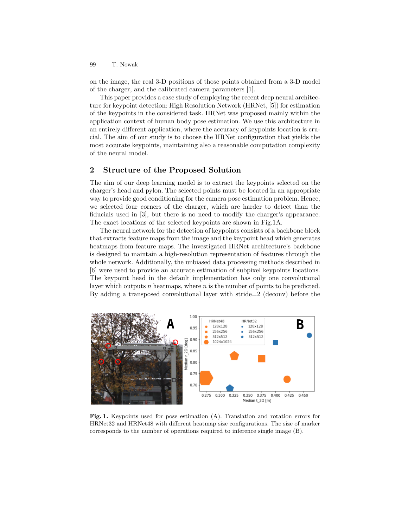T. Nowak 99

on the image, the real 3-D positions of those points obtained from a 3-D model of the charger, and the calibrated camera parameters [1].

This paper provides a case study of employing the recent deep neural architecture for keypoint detection: High Resolution Network (HRNet, [5]) for estimation of the keypoints in the considered task. HRNet was proposed mainly within the application context of human body pose estimation. We use this architecture in an entirely different application, where the accuracy of keypoints location is crucial. The aim of our study is to choose the HRNet configuration that yields the most accurate keypoints, maintaining also a reasonable computation complexity of the neural model.

# 2 Structure of the Proposed Solution

The aim of our deep learning model is to extract the keypoints selected on the charger's head and pylon. The selected points must be located in an appropriate way to provide good conditioning for the camera pose estimation problem. Hence, we selected four corners of the charger, which are harder to detect than the fiducials used in [3], but there is no need to modify the charger's appearance. The exact locations of the selected keypoints are shown in Fig.1A.

The neural network for the detection of keypoints consists of a backbone block that extracts feature maps from the image and the keypoint head which generates heatmaps from feature maps. The investigated HRNet architecture's backbone is designed to maintain a high-resolution representation of features through the whole network. Additionally, the unbiased data processing methods described in [6] were used to provide an accurate estimation of subpixel keypoints locations. The keypoint head in the default implementation has only one convolutional layer which outputs  $n$  heatmaps, where  $n$  is the number of points to be predicted. By adding a transposed convolutional layer with stride=2 (deconv) before the



Fig. 1. Keypoints used for pose estimation (A). Translation and rotation errors for HRNet32 and HRNet48 with different heatmap size configurations. The size of marker corresponds to the number of operations required to inference single image (B).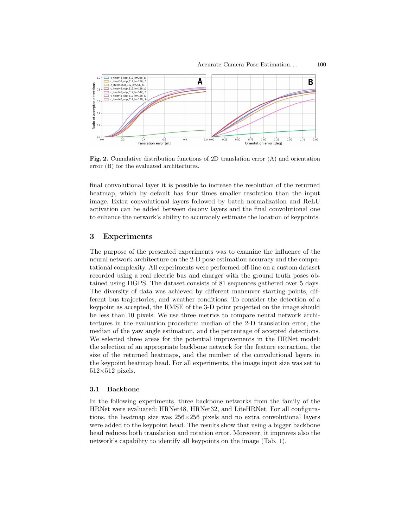

Fig. 2. Cumulative distribution functions of 2D translation error (A) and orientation error (B) for the evaluated architectures.

final convolutional layer it is possible to increase the resolution of the returned heatmap, which by default has four times smaller resolution than the input image. Extra convolutional layers followed by batch normalization and ReLU activation can be added between deconv layers and the final convolutional one to enhance the network's ability to accurately estimate the location of keypoints.

### 3 Experiments

The purpose of the presented experiments was to examine the influence of the neural network architecture on the 2-D pose estimation accuracy and the computational complexity. All experiments were performed off-line on a custom dataset recorded using a real electric bus and charger with the ground truth poses obtained using DGPS. The dataset consists of 81 sequences gathered over 5 days. The diversity of data was achieved by different maneuver starting points, different bus trajectories, and weather conditions. To consider the detection of a keypoint as accepted, the RMSE of the 3-D point projected on the image should be less than 10 pixels. We use three metrics to compare neural network architectures in the evaluation procedure: median of the 2-D translation error, the median of the yaw angle estimation, and the percentage of accepted detections. We selected three areas for the potential improvements in the HRNet model: the selection of an appropriate backbone network for the feature extraction, the size of the returned heatmaps, and the number of the convolutional layers in the keypoint heatmap head. For all experiments, the image input size was set to  $512\!\times\!512$  pixels.

### 3.1 Backbone

In the following experiments, three backbone networks from the family of the HRNet were evaluated: HRNet48, HRNet32, and LiteHRNet. For all configurations, the heatmap size was  $256\times256$  pixels and no extra convolutional layers were added to the keypoint head. The results show that using a bigger backbone head reduces both translation and rotation error. Moreover, it improves also the network's capability to identify all keypoints on the image (Tab. 1).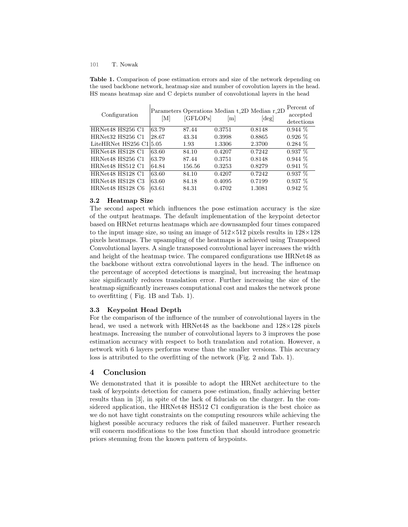#### T. Nowak 101

Table 1. Comparison of pose estimation errors and size of the network depending on the used backbone network, heatmap size and number of covolution layers in the head. HS means heatmap size and C depicts number of convolutional layers in the head

| Configuration             | ſМ    | [GFLOPs] | Parameters Operations Median t.2D Median r.2D<br> m | $\lvert \text{deg} \rvert$ | Percent of<br>accepted<br>detections |
|---------------------------|-------|----------|-----------------------------------------------------|----------------------------|--------------------------------------|
| HRNet48 HS256 C1          | 63.79 | 87.44    | 0.3751                                              | 0.8148                     | $0.944~\%$                           |
| HRNet32 HS256 C1          | 28.67 | 43.34    | 0.3998                                              | 0.8865                     | $0.926\%$                            |
| LiteHRNet $HS256$ C1 5.05 |       | 1.93     | 1.3306                                              | 2.3700                     | $0.284\%$                            |
| HRNet48 HS128 C1          | 63.60 | 84.10    | 0.4207                                              | 0.7242                     | $0.937\%$                            |
| HRNet48 HS256 C1          | 63.79 | 87.44    | 0.3751                                              | 0.8148                     | $0.944\%$                            |
| HRNet48 HS512 C1          | 64.84 | 156.56   | 0.3253                                              | 0.8279                     | $0.941\%$                            |
| HRNet48 HS128 C1          | 63.60 | 84.10    | 0.4207                                              | 0.7242                     | $0.937~\%$                           |
| HRNet48 HS128 C3          | 63.60 | 84.18    | 0.4095                                              | 0.7199                     | $0.937\%$                            |
| HRNet48 HS128 C6          | 63.61 | 84.31    | 0.4702                                              | 1.3081                     | $0.942\%$                            |

### 3.2 Heatmap Size

The second aspect which influences the pose estimation accuracy is the size of the output heatmaps. The default implementation of the keypoint detector based on HRNet returns heatmaps which are downsampled four times compared to the input image size, so using an image of  $512\times512$  pixels results in  $128\times128$ pixels heatmaps. The upsampling of the heatmaps is achieved using Transposed Convolutional layers. A single transposed convolutional layer increases the width and height of the heatmap twice. The compared configurations use HRNet48 as the backbone without extra convolutional layers in the head. The influence on the percentage of accepted detections is marginal, but increasing the heatmap size significantly reduces translation error. Further increasing the size of the heatmap significantly increases computational cost and makes the network prone to overfitting ( Fig. 1B and Tab. 1).

### 3.3 Keypoint Head Depth

For the comparison of the influence of the number of convolutional layers in the head, we used a network with HRNet48 as the backbone and  $128\times128$  pixels heatmaps. Increasing the number of convolutional layers to 3 improves the pose estimation accuracy with respect to both translation and rotation. However, a network with 6 layers performs worse than the smaller versions. This accuracy loss is attributed to the overfitting of the network (Fig. 2 and Tab. 1).

## 4 Conclusion

We demonstrated that it is possible to adopt the HRNet architecture to the task of keypoints detection for camera pose estimation, finally achieving better results than in [3], in spite of the lack of fiducials on the charger. In the considered application, the HRNet48 HS512 C1 configuration is the best choice as we do not have tight constraints on the computing resources while achieving the highest possible accuracy reduces the risk of failed maneuver. Further research will concern modifications to the loss function that should introduce geometric priors stemming from the known pattern of keypoints.